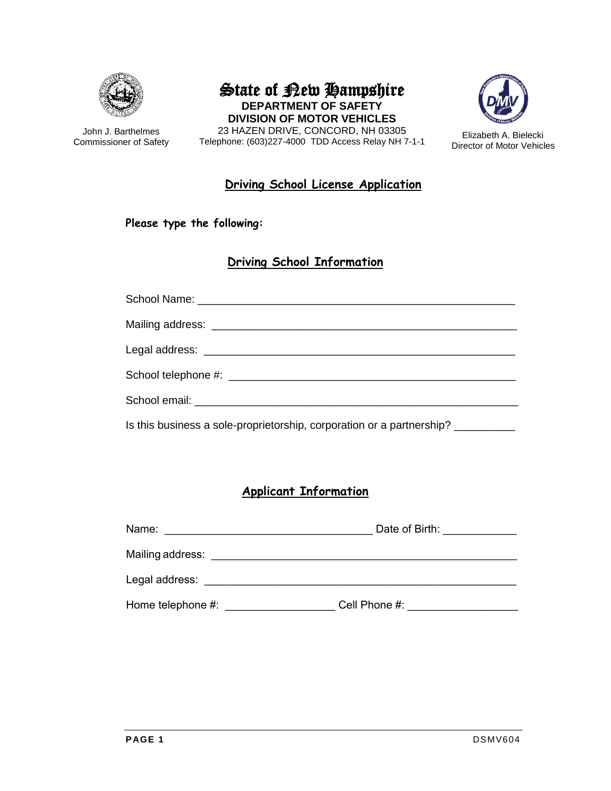

John J. Barthelmes Commissioner of Safety

State of Rew Hampshire **DEPARTMENT OF SAFETY DIVISION OF MOTOR VEHICLES** 23 HAZEN DRIVE, CONCORD, NH 03305





Elizabeth A. Bielecki Director of Motor Vehicles

#### **Driving School License Application**

#### **Please type the following:**

#### **Driving School Information**

| Is this business a sole-proprietorship, corporation or a partnership? |
|-----------------------------------------------------------------------|

### **Applicant Information**

| Name:             | Date of Birth: |  |
|-------------------|----------------|--|
| Mailing address:  |                |  |
| Legal address:    |                |  |
| Home telephone #: | Cell Phone #:  |  |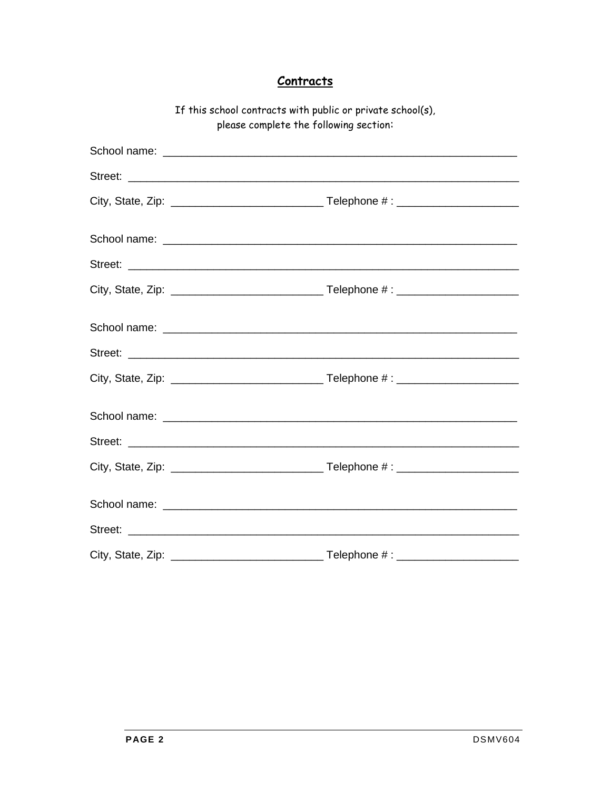### **Contracts**

| If This school contracts with public or private school(s),<br>please complete the following section: |         |  |
|------------------------------------------------------------------------------------------------------|---------|--|
|                                                                                                      |         |  |
|                                                                                                      | Street: |  |
|                                                                                                      |         |  |
|                                                                                                      |         |  |
|                                                                                                      |         |  |
|                                                                                                      |         |  |
|                                                                                                      |         |  |
|                                                                                                      |         |  |
|                                                                                                      |         |  |
|                                                                                                      |         |  |
|                                                                                                      |         |  |
|                                                                                                      |         |  |
|                                                                                                      |         |  |
|                                                                                                      |         |  |
|                                                                                                      |         |  |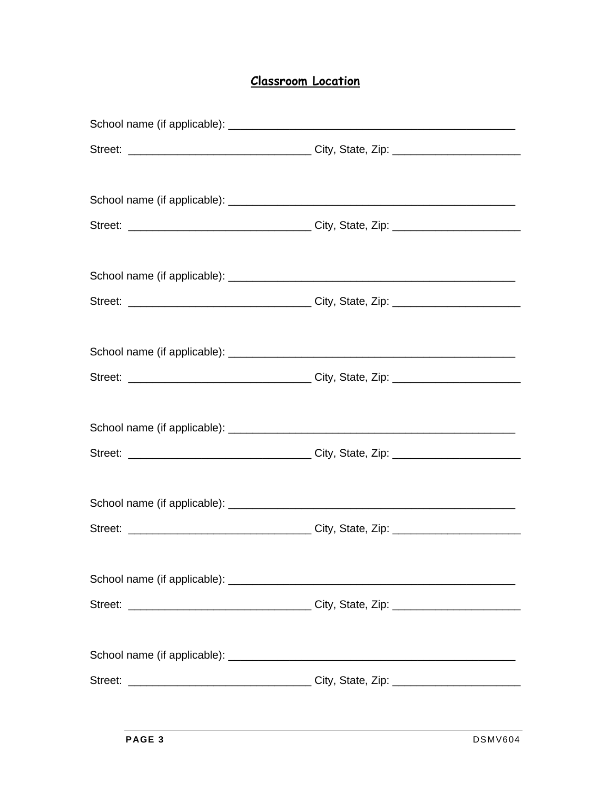## **Classroom Location**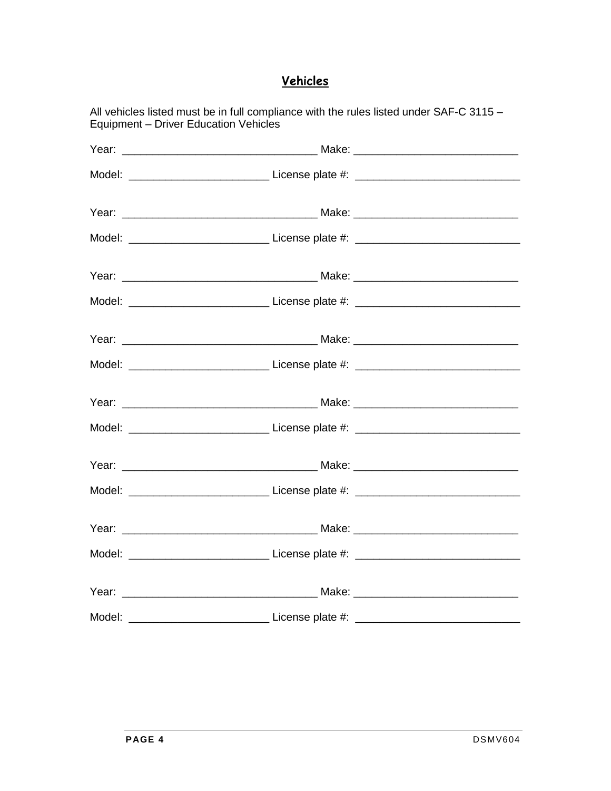# Vehicles

| Equipment - Driver Education Vehicles | All vehicles listed must be in full compliance with the rules listed under SAF-C 3115 - |  |
|---------------------------------------|-----------------------------------------------------------------------------------------|--|
|                                       |                                                                                         |  |
|                                       |                                                                                         |  |
|                                       |                                                                                         |  |
|                                       |                                                                                         |  |
|                                       |                                                                                         |  |
|                                       |                                                                                         |  |
|                                       |                                                                                         |  |
|                                       |                                                                                         |  |
|                                       |                                                                                         |  |
|                                       |                                                                                         |  |
|                                       |                                                                                         |  |
|                                       |                                                                                         |  |
|                                       |                                                                                         |  |
|                                       |                                                                                         |  |
|                                       |                                                                                         |  |
|                                       |                                                                                         |  |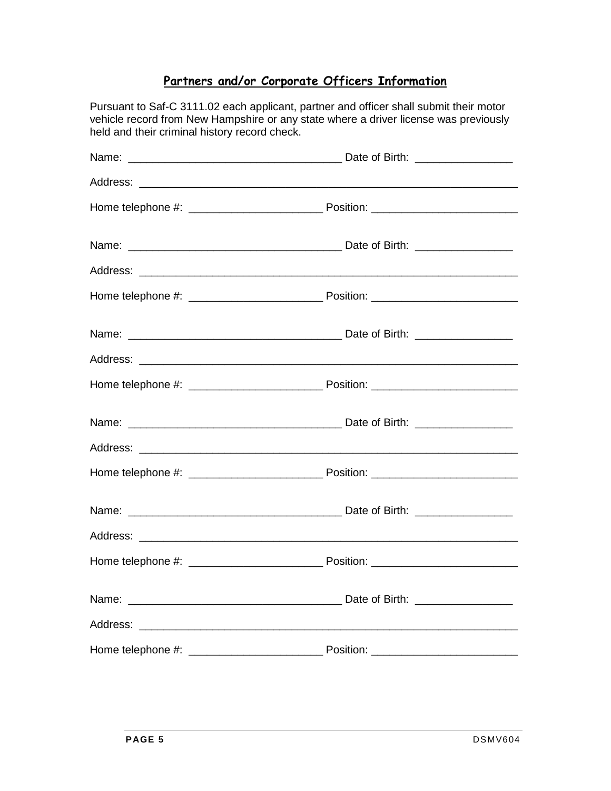### **Partners and/or Corporate Officers Information**

Pursuant to Saf-C 3111.02 each applicant, partner and officer shall submit their motor vehicle record from New Hampshire or any state where a driver license was previously held and their criminal history record check.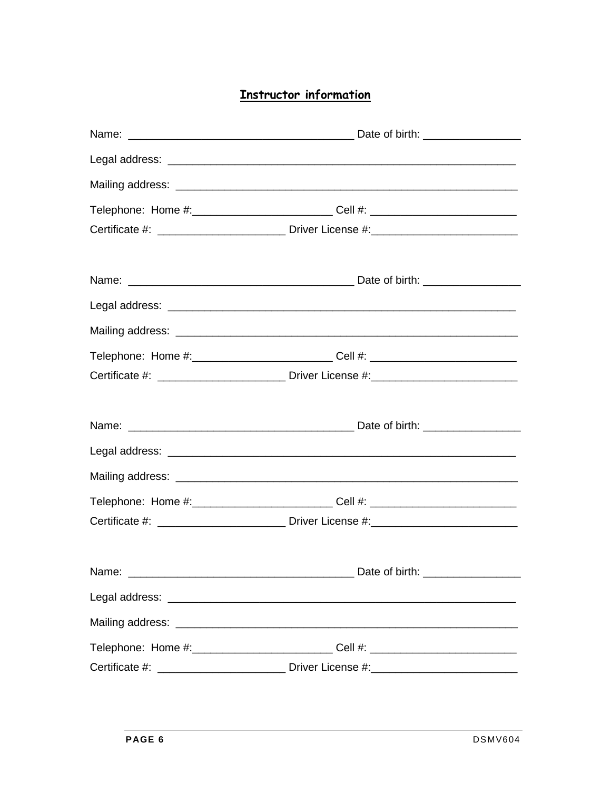# **Instructor information**

| Telephone: Home #:___________________________Cell #: ___________________________ |  |  |
|----------------------------------------------------------------------------------|--|--|
|                                                                                  |  |  |
|                                                                                  |  |  |
|                                                                                  |  |  |
|                                                                                  |  |  |
| Telephone: Home #:___________________________Cell #: ___________________________ |  |  |
|                                                                                  |  |  |
|                                                                                  |  |  |
|                                                                                  |  |  |
|                                                                                  |  |  |
| Telephone: Home #:____________________________Cell #: __________________________ |  |  |
|                                                                                  |  |  |
|                                                                                  |  |  |
|                                                                                  |  |  |
|                                                                                  |  |  |
| Telephone: Home #:_____________________________Cell #: _________________________ |  |  |
|                                                                                  |  |  |